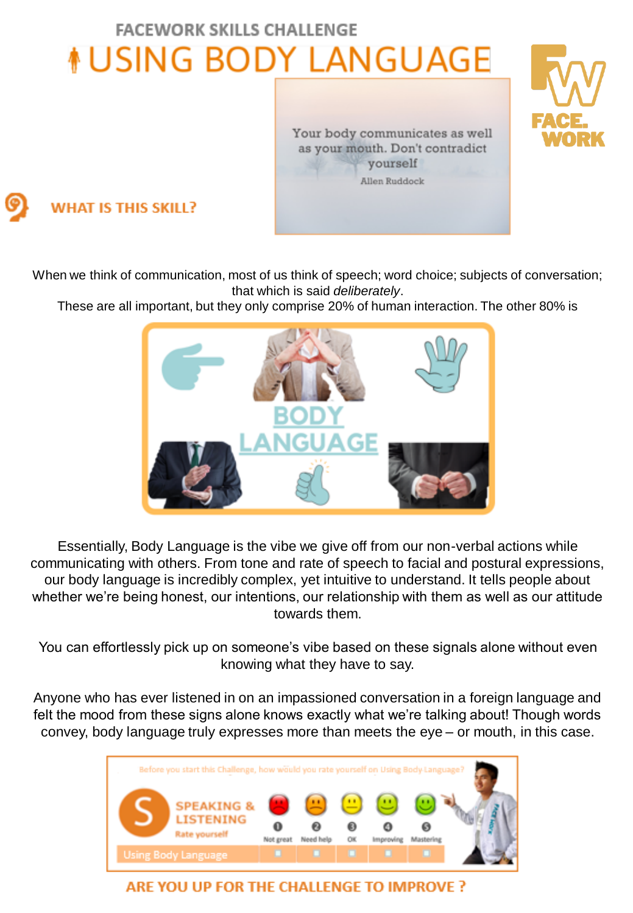## **FACEWORK SKILLS CHALLENGE NUSING BODY LANGUAGE**

Your body communicates as well as your mouth. Don't contradict yourself Allen Ruddock



When we think of communication, most of us think of speech; word choice; subjects of conversation; that which is said *deliberately*.

These are all important, but they only comprise 20% of human interaction. The other 80% is



Essentially, Body Language is the vibe we give off from our non-verbal actions while communicating with others. From tone and rate of speech to facial and postural expressions, our body language is incredibly complex, yet intuitive to understand. It tells people about whether we're being honest, our intentions, our relationship with them as well as our attitude towards them.

You can effortlessly pick up on someone's vibe based on these signals alone without even knowing what they have to say.

Anyone who has ever listened in on an impassioned conversation in a foreign language and felt the mood from these signs alone knows exactly what we're talking about! Though words convey, body language truly expresses more than meets the eye – or mouth, in this case.



ARE YOU UP FOR THE CHALLENGE TO IMPROVE?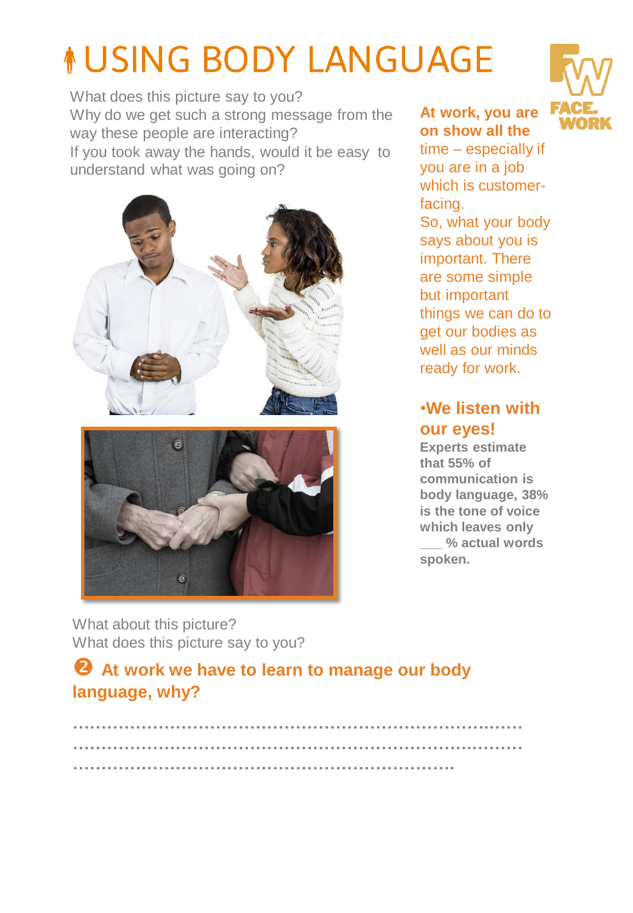# *NUSING BODY LANGUAGE*

What does this picture say to you? Why do we get such a strong message from the way these people are interacting? If you took away the hands, would it be easy to understand what was going on?





**At work, you are on show all the**

time – especially if you are in a job which is customerfacing. So, what your body says about you is important. There are some simple but important things we can do to get our bodies as well as our minds ready for work.

#### •**We listen with our eyes!**

**Experts estimate that 55% of communication is body language, 38% is the tone of voice which leaves only \_\_\_ % actual words spoken.**

What about this picture? What does this picture say to you?

#### **2** At work we have to learn to manage our body **language, why?**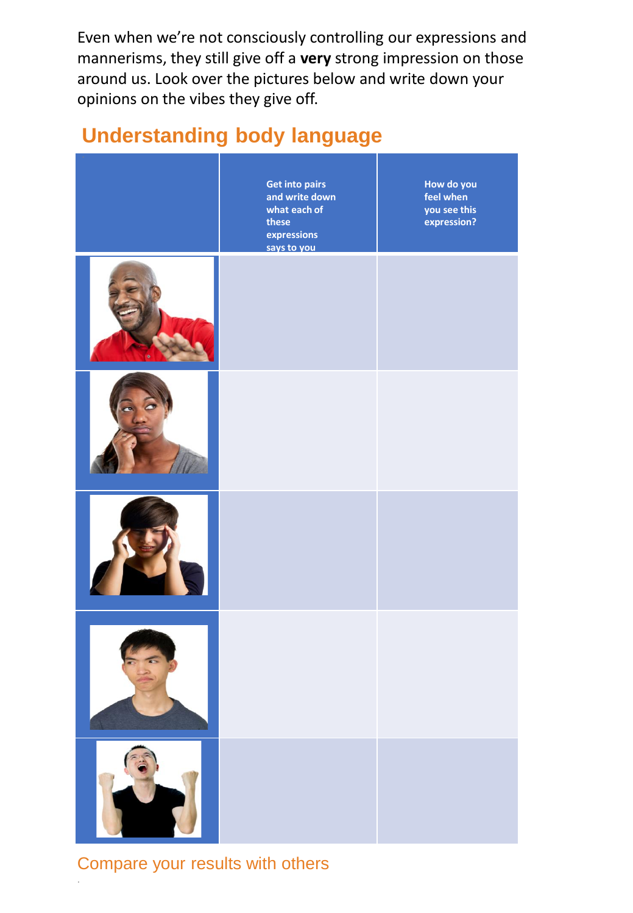Even when we're not consciously controlling our expressions and mannerisms, they still give off a **very** strong impression on those around us. Look over the pictures below and write down your opinions on the vibes they give off.

### **Understanding body language**

| <b>Get into pairs</b><br>and write down<br>what each of<br>these<br>expressions<br>says to you | How do you<br>feel when<br>you see this<br>expression? |
|------------------------------------------------------------------------------------------------|--------------------------------------------------------|
|                                                                                                |                                                        |
|                                                                                                |                                                        |
|                                                                                                |                                                        |
|                                                                                                |                                                        |
|                                                                                                |                                                        |

Compare your results with others

.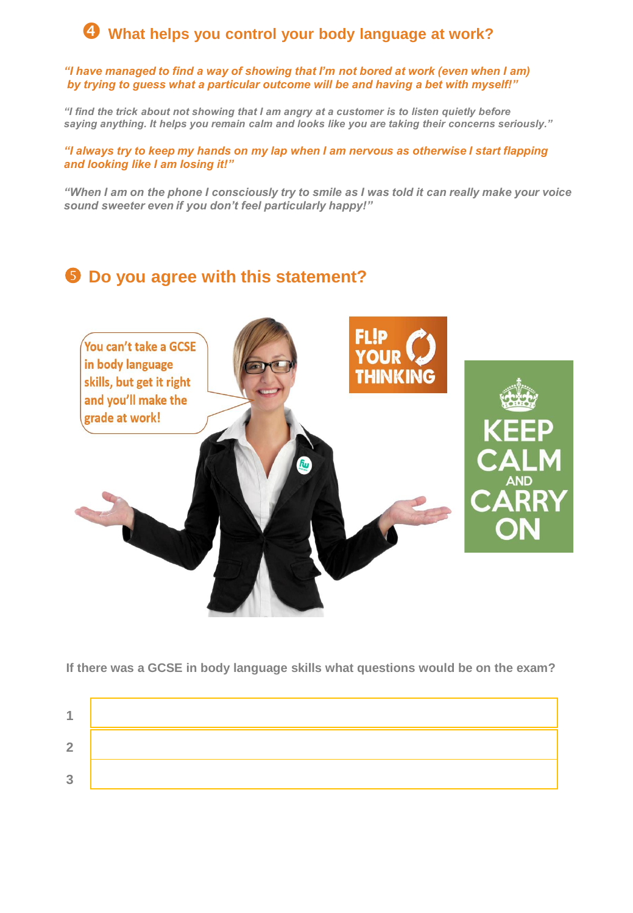#### **What helps you control your body language at work?**

*"I have managed to find a way of showing that I'm not bored at work (even when I am) by trying to guess what a particular outcome will be and having a bet with myself!"* 

*"I find the trick about not showing that I am angry at a customer is to listen quietly before saying anything. It helps you remain calm and looks like you are taking their concerns seriously."* 

*"I always try to keep my hands on my lap when I am nervous as otherwise I start flapping and looking like I am losing it!"*

*"When I am on the phone I consciously try to smile as I was told it can really make your voice sound sweeter even if you don't feel particularly happy!"* 

#### **9** Do you agree with this statement?



**If there was a GCSE in body language skills what questions would be on the exam?** 

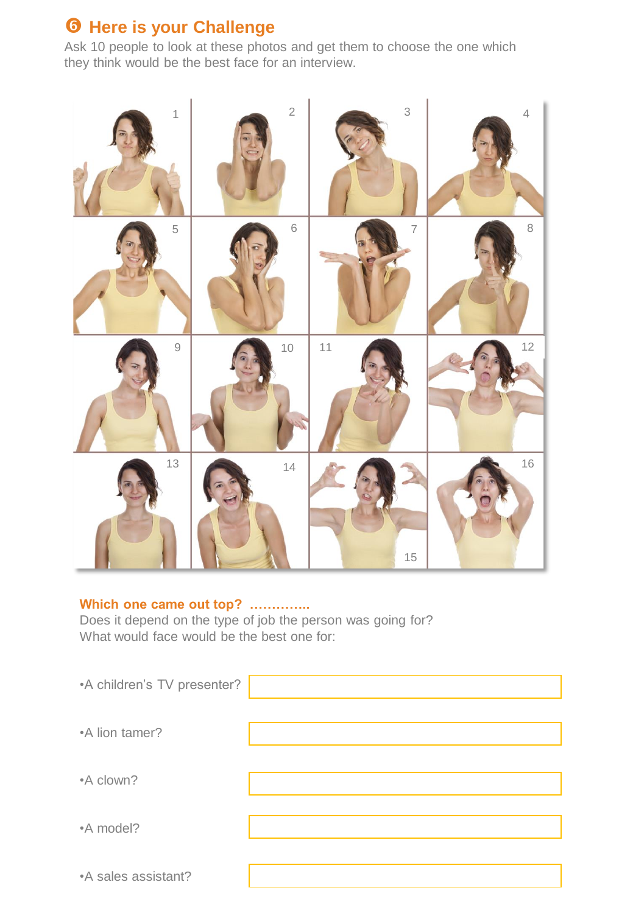#### $\theta$  **Here is your Challenge**

Ask 10 people to look at these photos and get them to choose the one which they think would be the best face for an interview.



#### **Which one came out top? …………..**

Does it depend on the type of job the person was going for? What would face would be the best one for:

| •A children's TV presenter? |  |
|-----------------------------|--|
| •A lion tamer?              |  |
| •A clown?                   |  |
| •A model?                   |  |
| •A sales assistant?         |  |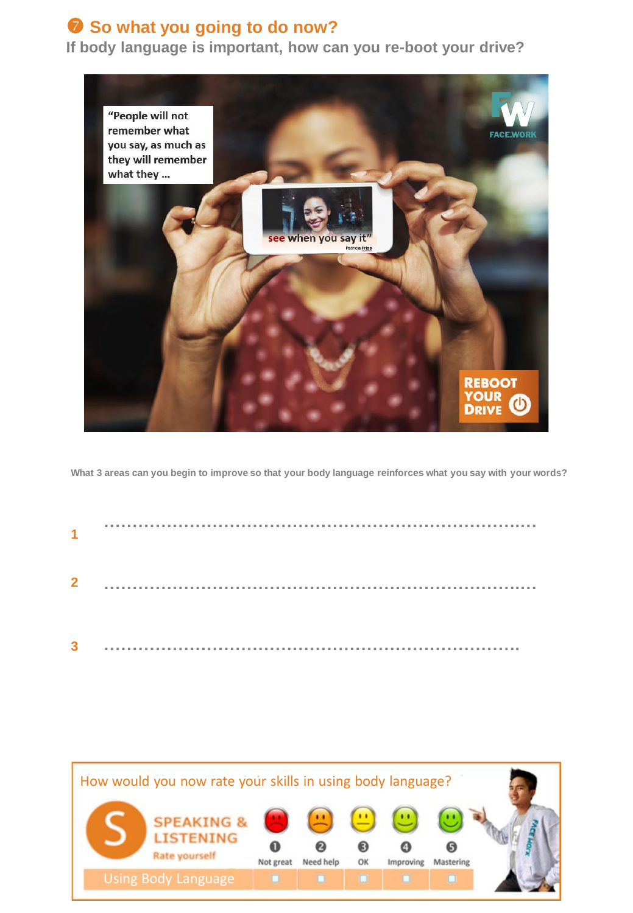#### **8** So what you going to do now?

**If body language is important, how can you re-boot your drive?** 



**What 3 areas can you begin to improve so that your body language reinforces what you say with your words?** 

| $\blacktriangleleft$ |  |  |
|----------------------|--|--|
| $\overline{2}$       |  |  |
| 3                    |  |  |